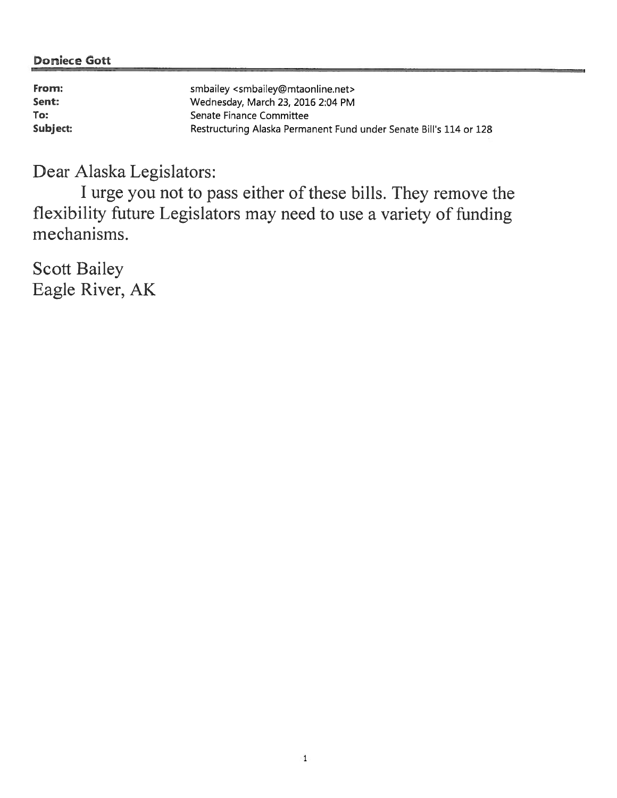| From:    | smbailey <smbailey@mtaonline.net></smbailey@mtaonline.net>         |
|----------|--------------------------------------------------------------------|
| Sent:    | Wednesday, March 23, 2016 2:04 PM                                  |
| To:      | Senate Finance Committee                                           |
| Subject: | Restructuring Alaska Permanent Fund under Senate Bill's 114 or 128 |

Dear Alaska Legislators:

I urge you not to pass either of these bills. They remove the flexibility future Legislators may need to use <sup>a</sup> variety of finding mechanisms.

Scott Bailey Eagle River, AK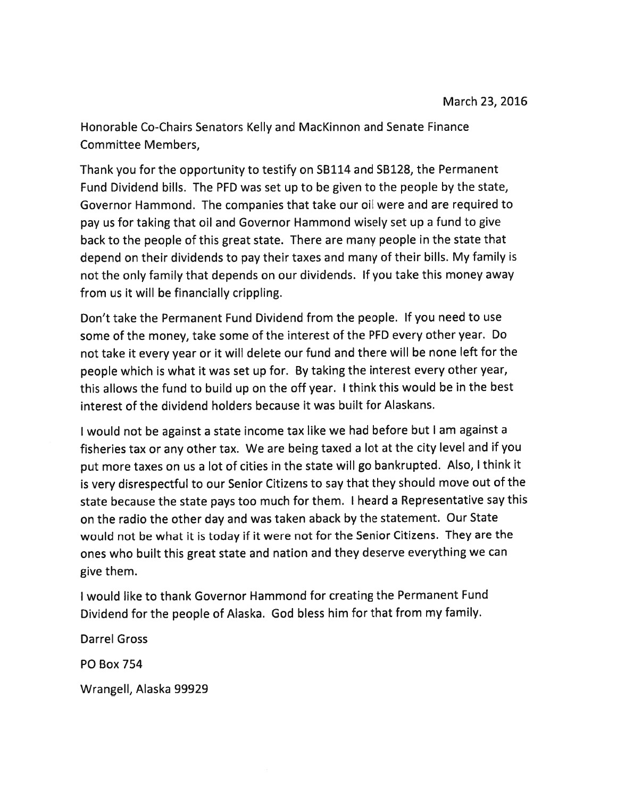Honorable Co-Chairs Senators Kelly and MacKinnon and Senate Finance Committee Members,

Thank you for the opportunity to testify on 5B114 and SB128, the Permanent Fund Dividend bills. The PFD was set up to be given to the people by the state, Governor Hammond. The companies that take our oil were and are required to pay us for taking that oil and Governor Hammond wisely set up <sup>a</sup> fund to <sup>g</sup>ive back to the people of this grea<sup>t</sup> state. There are many people in the state that depend on their dividends to pay their taxes and many of their bills. My family is not the only family that depends on our dividends. If you take this money away from us it will be financially crippling.

Don't take the Permanent Fund Dividend from the people. If you need to use some of the money, take some of the interest of the PFD every other year. Do not take it every year or it will delete our fund and there will be none left for the people which is what it was set up for. By taking the interest every other year, this allows the fund to build up on the off year. <sup>I</sup> think this would be in the best interest of the dividend holders because it was built for Alaskans.

<sup>I</sup> would not be against <sup>a</sup> state income tax like we had before but <sup>I</sup> am against <sup>a</sup> fisheries tax or any other tax. We are being taxed <sup>a</sup> lot at the city level and if you pu<sup>t</sup> more taxes on us <sup>a</sup> lot of cities in the state will go bankrupted. Also, <sup>I</sup> think it is very disrespectful to our Senior Citizens to say that they should move out of the state because the state pays too much for them. <sup>I</sup> heard <sup>a</sup> Representative say this on the radio the other day and was taken aback by the statement. Our State would not be what it is today if it were not for the Senior Citizens. They are the ones who built this grea<sup>t</sup> state and nation and they deserve everything we can give them.

<sup>I</sup> would like to thank Governor Hammond for creating the Permanent Fund Dividend for the people of Alaska. God bless him for that from my family.

Darrel Gross

PD Box 754

Wrangell, Alaska 99929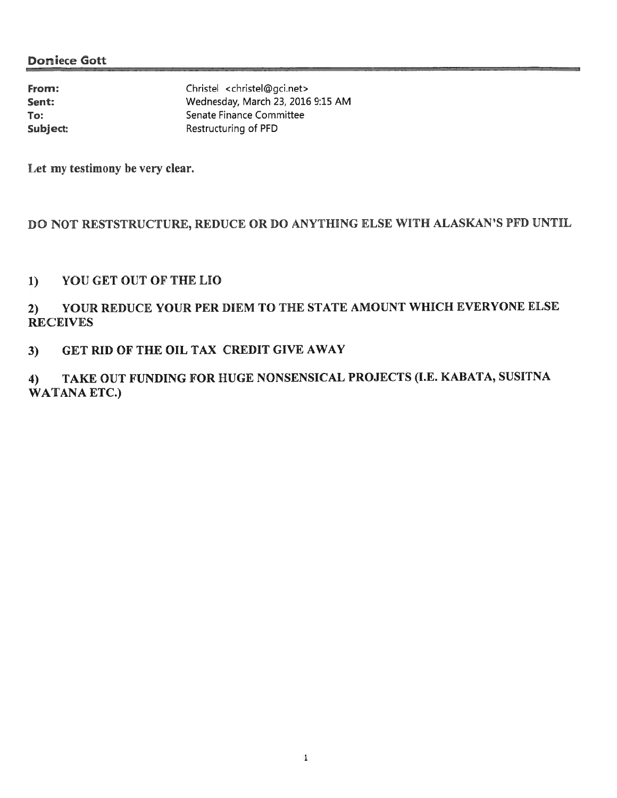| From:    | Christel <christel@gci.net></christel@gci.net> |
|----------|------------------------------------------------|
| Sent:    | Wednesday, March 23, 2016 9:15 AM              |
| To:      | Senate Finance Committee                       |
| Subject: | Restructuring of PFD                           |

Let my testimony he very clear,

### DO NOT RESTSTRUCTURE, REDUCE OR DO ANYTHING ELSE WITH ALASKAN'S PFD UNTIL

#### 1) YOU GET OUT OF THE LIO

## 2) YOUR REDUCE YOUR PER DIEM TO THE STATE AMOUNT WHICH EVERYONE ELSE **RECEIVES**

#### 3) GET RID OF THE OIL TAX CREDIT GIVE AWAY

# 4) TAKE OUT FUNDING FOR HUGE NONSENSICAL PROJECTS (I.E. KABATA, SUSITNA WATANA ETC.)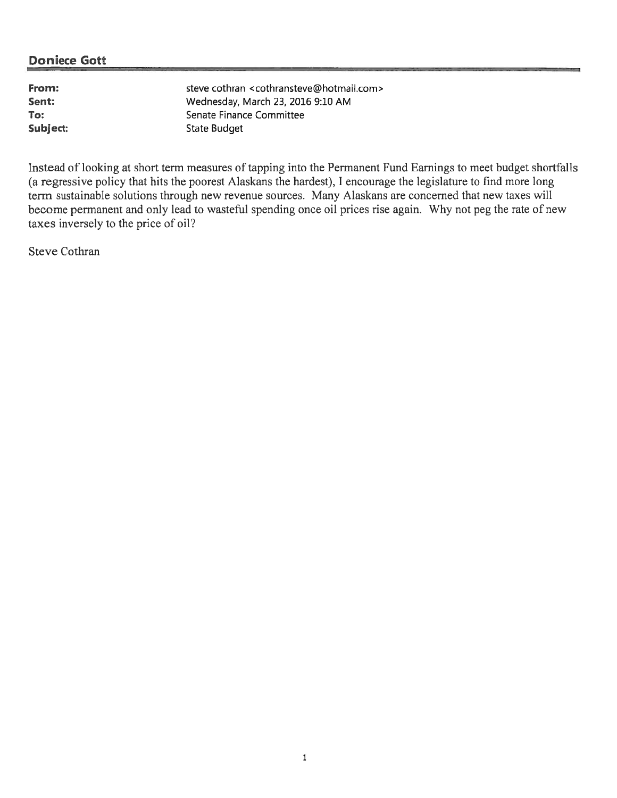From: steve cothran <cothransteve@hotmail.com> Sent: Wednesday, March 23, <sup>2016</sup> 9:10 AM To: Senate Finance Committee Subject: State Budget

Instead of looking at short term measures of tapping into the Permanent Fund Earnings to meet budget shortfalls (a regressive policy that hits the poores<sup>t</sup> Alaskans the hardest), I encourage the legislature to find more long term sustainable solutions through new revenue sources, Many Alaskans are concerned that new taxes will become permanen<sup>t</sup> and only lead to wasteful spending once oil prices rise again. Why not peg the rate of new taxes inversely to the price of oil'?

Steve Cothran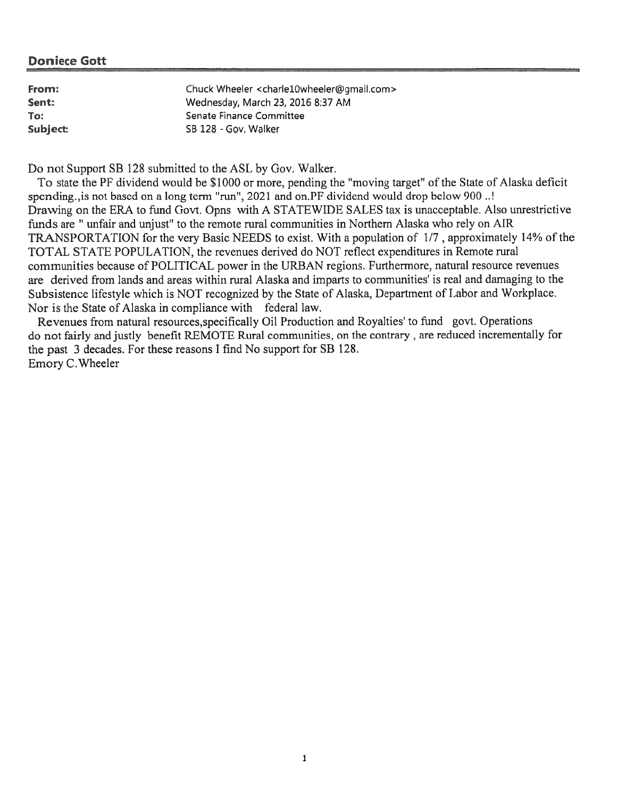| From:    | Chuck Wheeler <charle10wheeler@gmail.com></charle10wheeler@gmail.com> |
|----------|-----------------------------------------------------------------------|
| Sent:    | Wednesday, March 23, 2016 8:37 AM                                     |
| To:      | Senate Finance Committee                                              |
| Subject: | SB 128 - Gov. Walker                                                  |

Do not Support SB 128 submitted to the ASL by Gov. Walker.

To state the PF dividend would he \$1000 or more, pending the 'moving target' of the State of Alaska deficit spending., is not based on a long term "run", 2021 and on.PF dividend would drop below 900..! Drawing on the ERA to fund Govt. Opns with A STATEWIDE SALES tax is unacceptable. Also unrestrictive funds are "unfair and unjust' to the remote rural communities in Northern Alaska who rely on AIR TRANSPORTATION for the very Basic NEEDS to exist. With a population of 1/7, approximately 14% of the TOTAL STATE POPULATION, the revenues deiived do NOT reflect expenditures in Remote rural communities because of POLITICAL power in the URBAN regions. Furthermore, natural resource revenues are derived from lands and areas within rural Alaska and imparts to communities' is real and damaging to the Subsistence lifestyle which is NOT recognized by the State of Alaska, Department of Labor and Workplace. Nor is the State of Alaska in compliance with federal law.

Revenues from natural resources,specifically Oil Production and Royalties' to fund govt. Operations do not fairly and justly benefit REMOTE Rural communities, on the contrary, are reduced incrementally for the pas<sup>t</sup> 3 decades. For these reasons <sup>I</sup> find No suppor<sup>t</sup> for SB 128. Emory C.Wheeler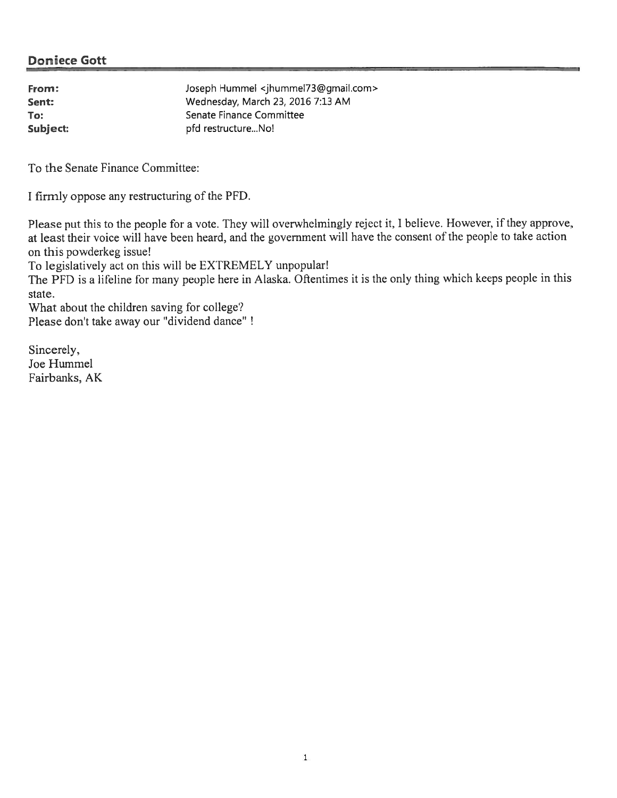| From:    | Joseph Hummel <jhummel73@gmail.com></jhummel73@gmail.com> |
|----------|-----------------------------------------------------------|
| Sent:    | Wednesday, March 23, 2016 7:13 AM                         |
| To:      | Senate Finance Committee                                  |
| Subject: | pfd restructureNo!                                        |

To the Senate Finance Committee:

I firmly oppose any restructuring of the PFD.

Please pu<sup>t</sup> this to the people for <sup>a</sup> vote, They will overwhelmingly reject it, <sup>I</sup> believe. However, if they approve, at least their voice will have been heard, and the governmen<sup>t</sup> will have the consent of the people to take action on this powderkeg issue!

To legislatively act on this will be EXTREMELY unpopular!

The PFD is a lifeline for many people here in Alaska. Oftentimes it is the only thing which keeps people in this state.

What about the children saving for college?

Please don't take away our "dividend dance"

Sincerely, Joe Hummel Fairbanks, AK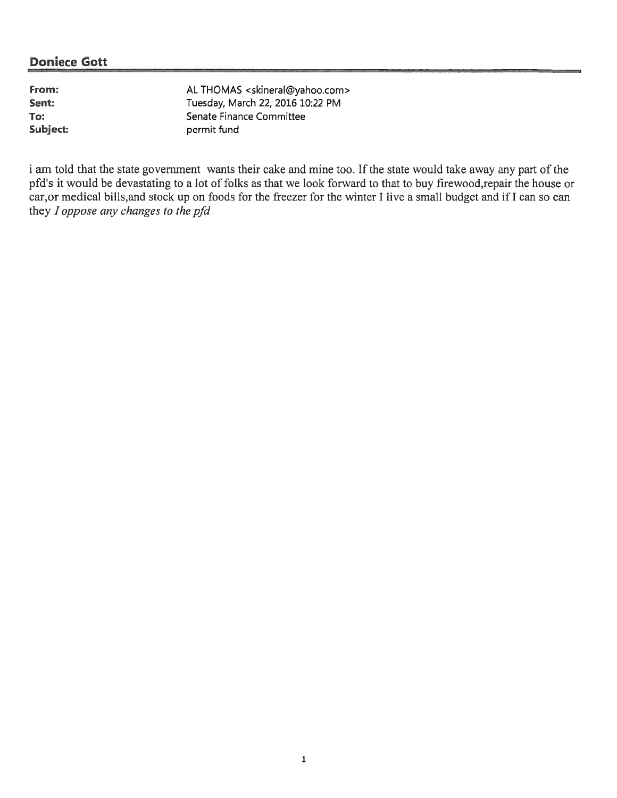From: AL THOMAS <skineral@yahoo.com> Sent: Tuesday, March 22, 2016 10:22 PM To: Senate Finance Committee Subject: permit fund

i am told that the state government wants their cake and mine too. If the state would take away any part of the pfd's it would be devastating to a lot of folks as that we look forward to that to buy firewood,repair the house or car,or medical bills,and stock up on foods for the freezer for the winter I live <sup>a</sup> small budget and if I can so can they I oppose any changes to the pfd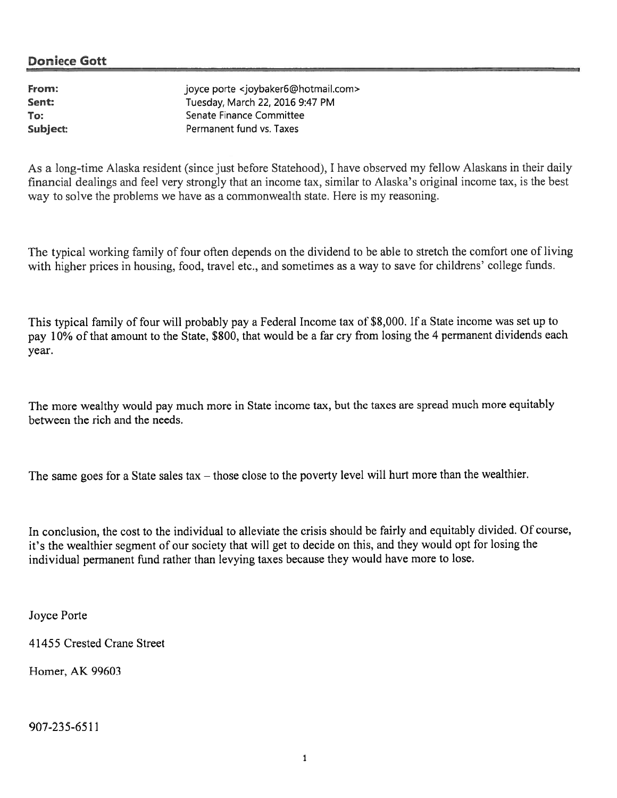From:  $j$ oyce porte <joybaker6@hotmail.com> Sent: Tuesday, March 22, 2016 9:47 PM To: Senate Finance Committee Subject: Permanent fund vs. Taxes

As a long-time Alaska resident (since just before Statehood), I have observed my fellow Alaskans in their daily financial dealings and feel very strongly that an income tax, similar to Alaska's original income tax, is the best way to solve the problems we have as <sup>a</sup> commonwealth state. Here is my reasoning.

The typical working family of four often depends on the dividend to be able to stretch the comfort one of living with higher prices in housing, food, travel etc., and sometimes as a way to save for childrens' college funds.

This typical family of four will probably pay <sup>a</sup> Federal Income tax of \$8,000. If <sup>a</sup> State income was set up to pay 10% of that amount to the State, \$800, that would be a far cry from losing the 4 permanent dividends each year.

The more wealthy would pay much more in State income tax, but the taxes are sprea<sup>d</sup> much more equitably between the rich and the needs.

The same goes for a State sales tax – those close to the poverty level will hurt more than the wealthier.

In conclusion, the cost to the individual to alleviate the crisis should be fairly and equitably divided. Of course, it's the wealthier segmen<sup>t</sup> of our society that will ge<sup>t</sup> to decide on this, and they would op<sup>t</sup> for losing the individual permanent fund rather than levying taxes because they would have more to lose.

Joyce Porte

41455 Crested Crane Street

Homer, AK 99603

907-235-6511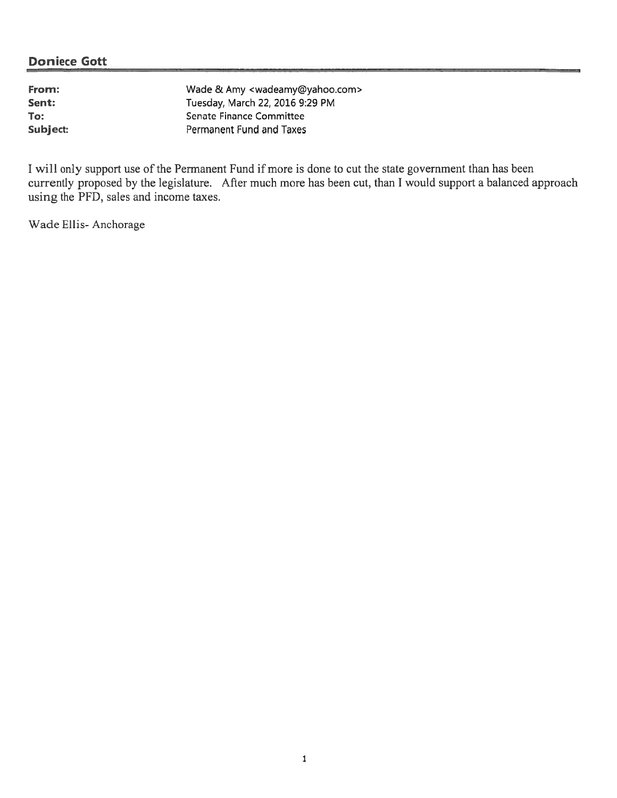| From:    | Wade & Amy <wadeamy@yahoo.com></wadeamy@yahoo.com> |
|----------|----------------------------------------------------|
| Sent:    | Tuesday, March 22, 2016 9:29 PM                    |
| To:      | Senate Finance Committee                           |
| Subject: | Permanent Fund and Taxes                           |

I will only support use of the Permanent Fund if more is done to cut the state government than has been currently proposed by the legislature. After much more has been cut, than <sup>I</sup> would suppor<sup>t</sup> <sup>a</sup> balanced approach using the PFD, sales and income taxes.

Wade Ellis-Anchorage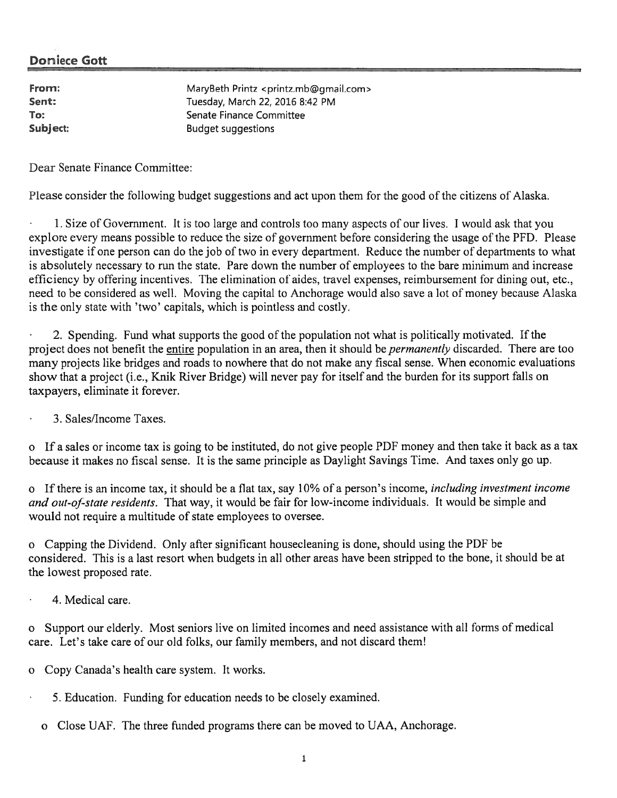From: MaryBeth Printz <printz.mb@gmail.com> Sent: Tuesday, March 22, 2016 8:42 PM To: Senate Finance Committee Subject: Budget suggestions

Dear Senate Finance Committee:

Please consider the following budget suggestions and act upon them for the good of the citizens of Alaska.

1. Size of Goverrunent. It is too large and controls too many aspects of our lives. I would ask that you explore every means possible to reduce the size of governmen<sup>t</sup> before considering the usage of the PFD. Please investigate if one person can do the job of two in every department. Reduce the number of departments to what is absolutely necessary to run the state, Pare down the number of employees to the bare minimum and increase efficiency by offering incentives. The elimination of aides, travel expenses, reimbursement for dining out, etc., need to he considered as well. Moving the capital to Anchorage would also save <sup>a</sup> lot of money because Alaska is the only state with 'two' capitals, which is pointless and costly.

2. Spending. Fund what supports the good of the population not what is politically motivated. If the project does not benefit the entire population in an area, then it should be *permanently* discarded. There are too many projects like bridges and roads to nowhere that do not make any fiscal sense. When economic evaluations show that a project (i.e., Knik River Bridge) will never pay for itself and the burden for its support falls on taxpayers, eliminate it forever.

•3. Sales/Income Taxes.

<sup>o</sup> If <sup>a</sup> sales or income tax is going to be instituted, do not give people PI)F money and then take it back as <sup>a</sup> tax because it makes no fiscal sense. It is the same principle as Daylight Savings Time. And taxes only go up.

<sup>o</sup> Ifthere is an income tax, it should be <sup>a</sup> flat tax, say 10% of <sup>a</sup> person's income, including investment income and out-of-state residents. That way, it would be fair for low-income individuals. It would be simple and would not require <sup>a</sup> multitude of state employees to oversee.

o Capping the Dividend. Only after significant housecleaning is done, should using the PDF be considered. This is <sup>a</sup> last resort when budgets in all other areas have been stripped to the hone, it should be at the lowest proposed rate.

4. Medical care.

Support our elderly. Most seniors live on limited incomes and need assistance with all forms of medical care. Let's take care of our old folks, our family members, and not discard them!

- <sup>o</sup> Copy Canada's health care system. It works.
	- 5. Education. Funding for education needs to be closely examined.
	- <sup>o</sup> Close UAF. The three funded programs there can be moved to UAA, Anchorage.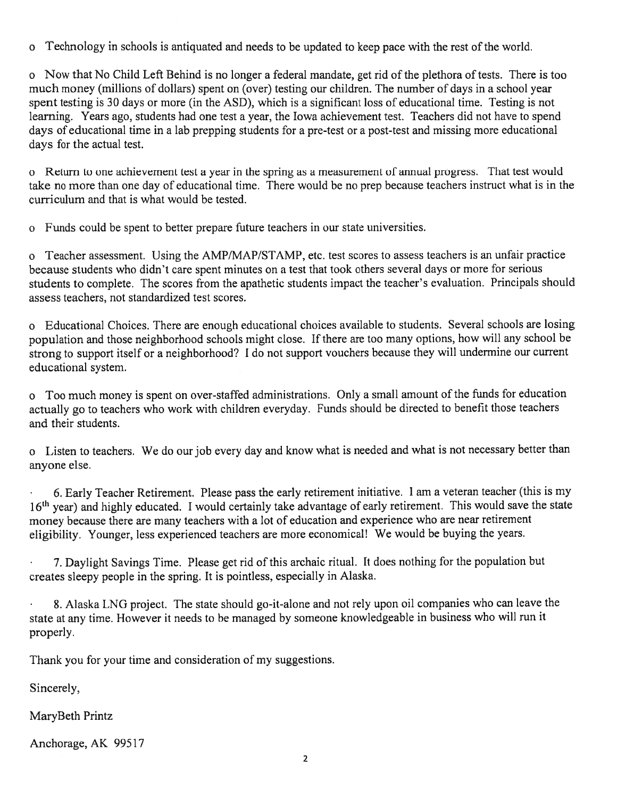<sup>o</sup> Technology in schools is antiquated and needs to be updated to keep pace with the rest of the world.

<sup>o</sup> Now that No Child Left Behind is no longer <sup>a</sup> federal mandate, ge<sup>t</sup> rid ofthe plethora of tests. There is too much money (millions of dollars) spen<sup>t</sup> on (over) testing our children. The number of days in <sup>a</sup> school year spen<sup>t</sup> testing is 30 days or more (in the ASD), which is <sup>a</sup> significant loss of educational time. Testing is not learning. Years ago, students had one test <sup>a</sup> year, the Iowa achievement test. Teachers did not have to spend. days of educational time in a lab prepping students for a pre-test or a post-test and missing more educational days for the actual test.

<sup>o</sup> Feturn to one achievement test <sup>a</sup> year in the spring as <sup>a</sup> measurement of annual progress. That test would take no more than one day of educational time. There would be no prep because teachers instruct what is in the curriculum and that is what would be tested.

<sup>o</sup> Funds could be spen<sup>t</sup> to better prepare future teachers in our state universities,

<sup>o</sup> Teacher assessment. Using the AMP/MAP/STAMP, etc. test scores to assess teachers is an unfair practice because students who didn't care spen<sup>t</sup> minutes on <sup>a</sup> test that took others several days or more for serious students to complete. The scores from the apathetic students impact the teacher's evaluation. Principals should assess teachers, not standardized test scores.

<sup>o</sup> Educational Choices. There are enoug<sup>h</sup> educational choices available to students. Several schools are losing population and those neighborhood schools might close. If there are too many options, how will any school be strong to suppor<sup>t</sup> itself or <sup>a</sup> neighborhood? <sup>I</sup> do not suppor<sup>t</sup> vouchers because they will undermine our current educational system.

<sup>o</sup> Too much money is spen<sup>t</sup> on over-staffed administrations. Only <sup>a</sup> small amount of the funds for education actually go to teachers who work with children everyday. Funds should be directed to benefit those teachers and their students.

<sup>o</sup> Listen to teachers. We do our job every day and know what is needed and what is not necessary better than anyone else.

6. Early Teacher Retirement. Please pass the early retirement initiative. <sup>1</sup> am <sup>a</sup> veteran teacher (this is my 16<sup>th</sup> year) and highly educated. I would certainly take advantage of early retirement. This would save the state money because there are many teachers with <sup>a</sup> lot of education and experience who are near retirement eligibility. Younger, less experienced teachers are more economical! We would be buying the years.

7. Daylight Savings Time. Please ge<sup>t</sup> rid of this archaic ritual. [t does nothing for the population but creates sleepy people in the spring. It is pointless, especially in Alaska.

8. Alaska LNG project. The state should go-it-alone and not rely upon oil companies who can leave the state at any time. However it needs to he manage<sup>d</sup> by someone knowledgeable in business who will run it properly.

Thank you for your time and consideration of my suggestions.

Sincerely,

MaryBeth Printz

Anchorage, AK 99517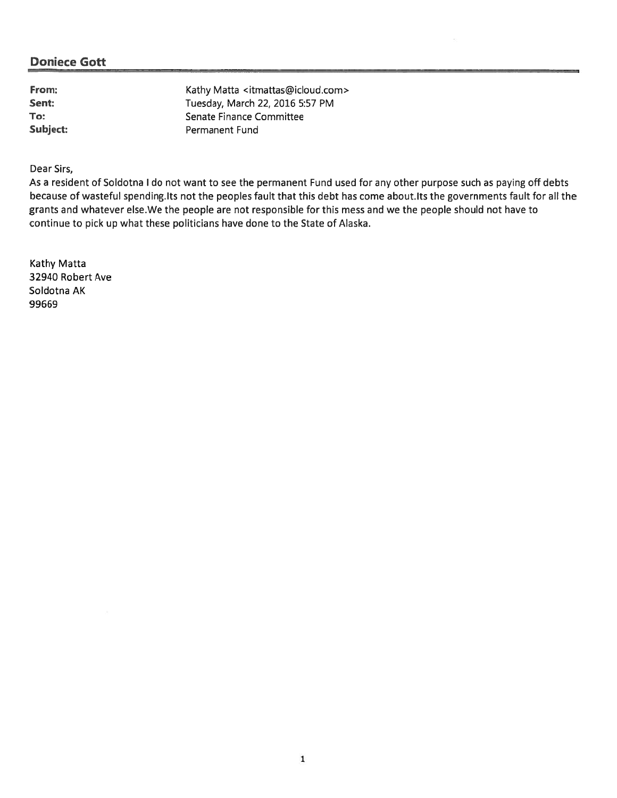From: Kathy Matta <itmattas@icloud.com> Sent: Tuesday, March 22, 2016 5:57 PM To: Senate Finance Committee Subject: Permanent Fund

Dear Sirs,

As <sup>a</sup> resident of Soldotna I do not want to see the permanen<sup>t</sup> Fund used for any other purpose such as paying off debts because of wasteful spending. Its not the peoples fault that this debt has come about. Its the governments fault for all the grants and whatever else.We the people are not responsible for this mess and we the people should not have to continue to pick up what these politicians have done to the State of Alaska.

Kathy Matta 32940 Robert Ave Soldotna AK 99669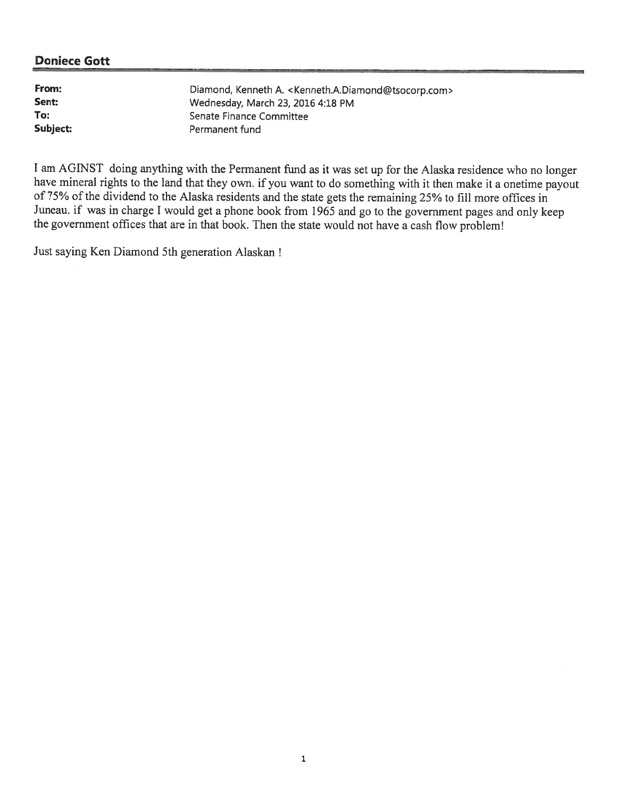From: Diamond, Kenneth A. <Kenneth.A.Diamond@tsocorp.com> Sent: Wednesday, March 23, 2016 4:18 PM To: Senate Finance Committee Subject: Permanent fund

<sup>I</sup> am AGINST doing anything with the Permanent fimd as it was set up for the Alaska residence who no longer have mineral rights to the land that they own. if you want to do something with it then make it <sup>a</sup> onetime payou<sup>t</sup> of 75% of the dividend to the Alaska residents and the state gets the remaining 25% to fill more offices in Juneau. if was in charge <sup>I</sup> would ge<sup>t</sup> <sup>a</sup> <sup>p</sup>hone book from <sup>1965</sup> and go to the governmen<sup>t</sup> pages and only keep the government offices that are in that book. Then the state would not have a cash flow problem!

Just saying Ken Diamond 5th generation Alaskan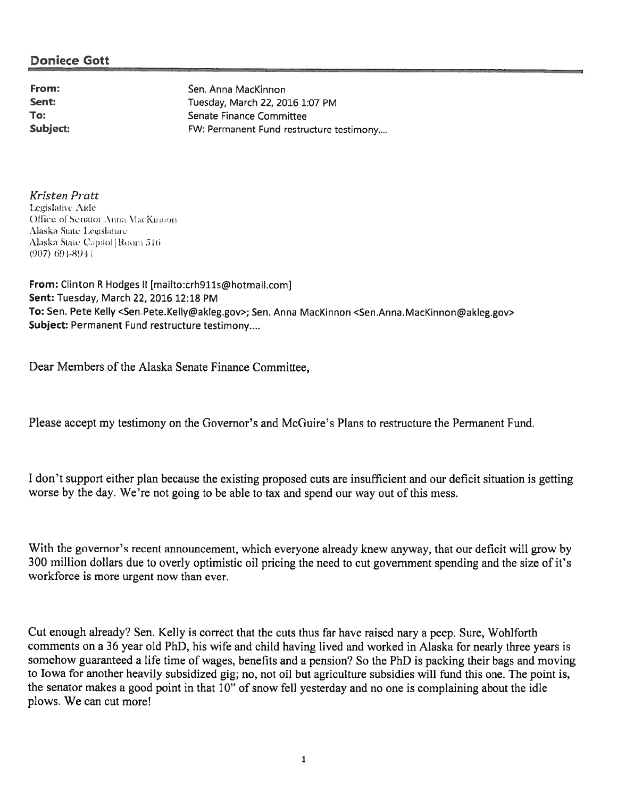From: Sen. Anna MacKinnon Sent: Tuesday, March 22, 2016 1:07 PM To: Senate Finance Committee Subject: Subject: FW: Permanent Fund restructure testimony....

Kristen Pratt Legislative Aide ()Ilice of Senator Anna MacKinnon. Alaska State Legislature Alaska State-Capitol | Room 516 (907) 691—891

From: Clinton <sup>R</sup> Hodges II [mailto:crh9lls@hotmail.comj Sent: Tuesday, March 22, 2016 12:18 PM To: Sen. Pete Kelly <Sen.Pete.Kelly@akleg.gov>; Sen. Anna MacKinnon <Sen.Anna.MacKinnon@akleg.gov> Subject: Permanent Fund restructure testimony....

Dear Members of the Alaska Senate Finance Committee,

Please accep<sup>t</sup> my testimony on the Governor's and McGuire's Plans to restructure the Permanent Fund,

<sup>I</sup> don't suppor<sup>t</sup> either <sup>p</sup>lan because the existing proposed cuts are insufficient and our deficit situation is getting worse by the day. We're not going to be able to tax and spend our way out of this mess.

With the governor's recent announcement, which everyone already knew anyway, that our deficit will grow by <sup>300</sup> million dollars due to overly optimistic oil pricing the need to cut governmen<sup>t</sup> spending and the size of it's workforce is more urgen<sup>t</sup> now than ever.

Cut enough already? Sen. Kelly is correct that the cuts thus far have raised nary a peep. Sure, Wohlforth. comments on a 36 year old PhD, his wife and child having lived and worked in Alaska for nearly three years is somehow guaranteed a life time of wages, benefits and a pension? So the PhD is packing their bags and moving to Iowa for another heavily subsidized gig; no, not oil but agriculture subsidies will fund this one. The point is, the senator makes <sup>a</sup> good point in that 10" of snow fell yesterday and no one is complaining about the idle plows. We can cut more!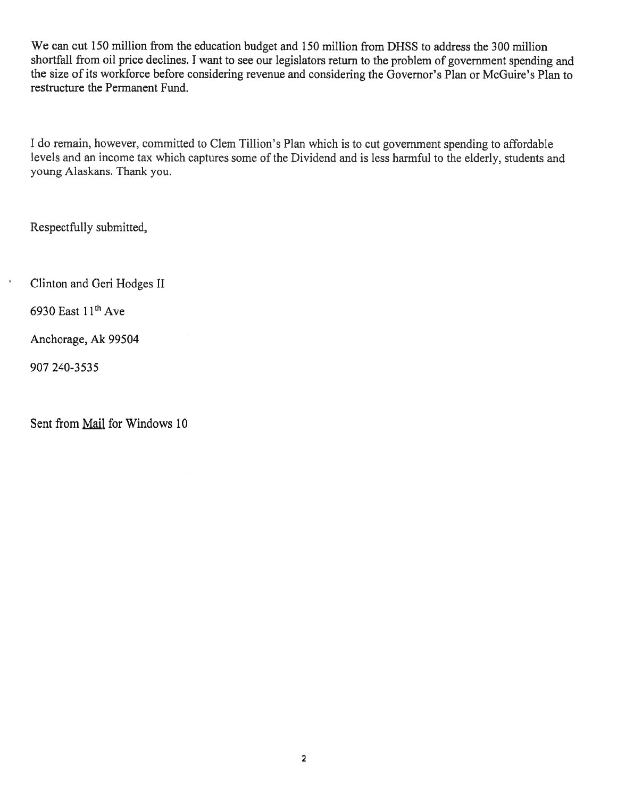We can cut 150 million from the education budget and 150 million from DHSS to address the 300 million shortfall from oil price declines. <sup>I</sup> want to see our legislators return to the problem of governmen<sup>t</sup> spending and the size of its workforce before considering revenue and considering the Governor's Plan or McGuire's Plan to restructure the Permanent Fund.

I do remain, however, committed to Clem Tillion's Plan which is to cut government spending to affordable levels and an incone tax which captures some of the Dividend and is less harmful to the elderly, students and young Alaskans. Thank you.

Respectfully submitted,

Clinton and Geri Hodges II

6930 East  $11<sup>th</sup>$  Ave

Anchorage, Ak 99504

907 240-3535

 $\overline{\phantom{a}}$ 

Sent from Mail for Windows 10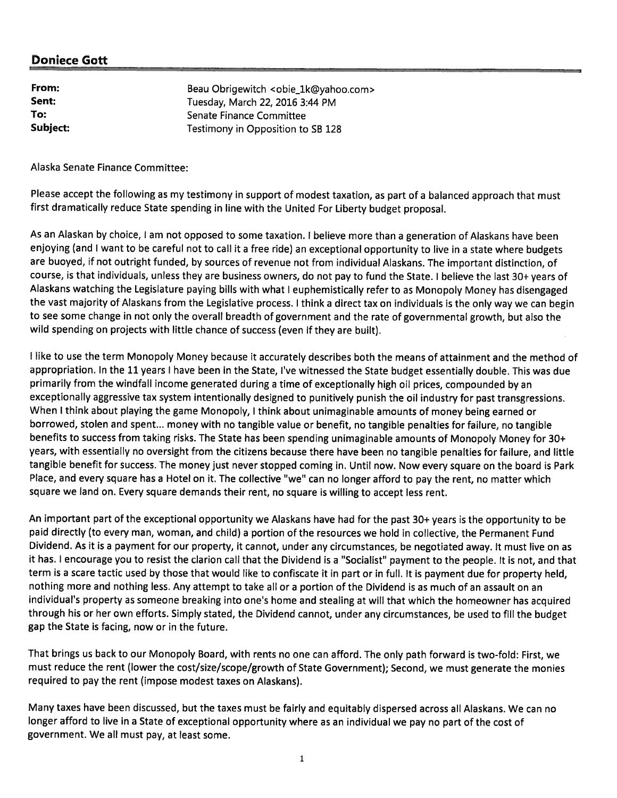| From:    | Beau Obrigewitch <obie_1k@yahoo.com></obie_1k@yahoo.com> |
|----------|----------------------------------------------------------|
| Sent:    | Tuesday, March 22, 2016 3:44 PM                          |
| To:      | Senate Finance Committee                                 |
| Subject: | Testimony in Opposition to SB 128                        |

Alaska Senate Finance Committee:

Please accept the following as my testimony in support of modest taxation, as part of a balanced approach that must first dramatically reduce State spending in line with the United For Liberty budget proposal.

As an Alaskan by choice, <sup>I</sup> am not oppose<sup>d</sup> to some axation. <sup>i</sup> believe more than <sup>a</sup> generation of Alaskans have been enjoying (and <sup>I</sup> want to be careful not to call it <sup>a</sup> free ride) an exceptional opportunity to live in <sup>a</sup> state where budgets are buoyed, if not outright funded, by sources of revenue not from individual Alaskans. The important distinction, of course, is that individuals, unless they are business owners, do not pay to fund the State. <sup>I</sup> believe the last 30+ years of Alaskans watching the Legislature paying bills with what <sup>I</sup> euphemistically refer to as Monopoly Money has disengaged the vast majority of Alaskans from the Legislative process. <sup>I</sup> think <sup>a</sup> direct tax on individuals is the only way we can begin to see some change in not only the overall breadth of governmen<sup>t</sup> and the rate of governmental growth, but also the wild spending on projects with little chance of success (even if they are built).

<sup>I</sup> like to use the term Monopoly Money because it accurately describes both the means of attainment and the method of appropriation. In the <sup>11</sup> years <sup>I</sup> have been in the State, I've witnessed the State budget essentially double. This was due primarily from the windfall income generated during <sup>a</sup> time of exceptionally high oil prices, compounded by an exceptionally aggressive tax system intentionally designed to punitively punish the oil industry for pas<sup>t</sup> transgressions. When <sup>I</sup> think about <sup>p</sup>laying the game Monopoly, <sup>I</sup> think about unimaginable amounts of money being earned or borrowed, stolen and spent... money with no tangible value or benefit, no tangible penalties for failure, no tangible benefits to success from taking risks. The State has been spending unimaginable amounts of Monopoly Money for 30+ years, with essentially no oversight from the citizens because there have been no tangible penalties for failure, and little tangible benefit for success. The money just never stopped coming in. Until now. Now every square on the board is Park Place, and every square has <sup>a</sup> Hotel on it. The collective "we" can no longer afford to pay the rent, no matter which square we land on. Every square demands their rent, no square is willing to accep<sup>t</sup> less rent.

An important par<sup>t</sup> of the exceptional opportunity we Alaskans have had for the pas<sup>t</sup> 30+ years is the opportunity to be paid directly (to every man, woman, and child) <sup>a</sup> portion of the resources we hold in collective, the Permanent Fund Dividend. As it is <sup>a</sup> paymen<sup>t</sup> for our property, it cannot, under any circumstances, be negotiated away. It must live on as it has. <sup>I</sup> encourage you to resist the clarion call that the Dividend is <sup>a</sup> "Socialist" paymen<sup>t</sup> to the people. It is not, and that term is <sup>a</sup> scare tactic used by those that would like to confiscate it in par<sup>t</sup> or in full. It is paymen<sup>t</sup> due for property held, nothing more and nothing less. Any attempt to take all or <sup>a</sup> portion of the Dividend is as much of an assault on an individual's property as someone breaking into one's home and stealing at will that which the homeowner has acquired through his or her own efforts. Simply stated, the Dividend cannot, under any circumstances, be used to fill the budget gap the State is facing, now or in the future.

That brings us back to our Monopoly Board, with rents no one can afford. The only path forward is two-fold: First, we must reduce the rent (lower the cost/size/scope/growth of State Government); Second, we must generate the monies required to pay the rent (impose modest taxes on Alaskans).

Many taxes have been discussed, but the taxes must be fairly and equitably dispersed across all Alaskans. We can no longer afford to live in <sup>a</sup> State of exceptional opportunity where as an individual we pay no par<sup>t</sup> of the cost of government. We all must pay, at least some.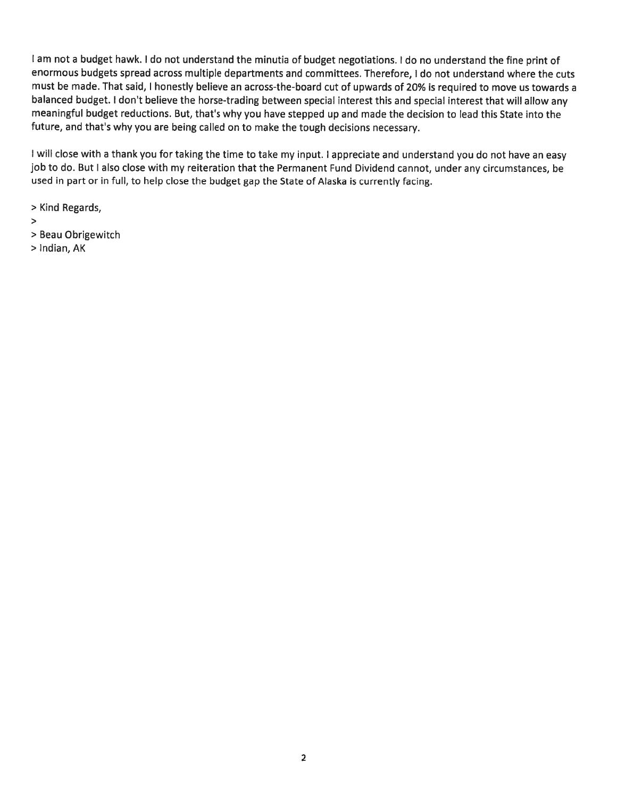<sup>I</sup> am not <sup>a</sup> budget hawk. <sup>I</sup> do not understand the minutia of budget negotiations. <sup>I</sup> do no understand the fine print of enormous budgets spread across multiple departments and committees. Therefore, I do not understand where the cuts must be made. That said, I honestly believe an across-the-board cut of upwards of 20% is required to move us towards a balanced budget. I don't believe the horse-trading between special interest this and special interest that will allow any meaningful budget reductions. But, that's why you have stepped up and made the decision to lead this State into the future, and that's why you are being called on to make the tough decisions necessary.

I will close with a thank you for taking the time to take my input. I appreciate and understand you do not have an easy job to do. But I also close with my reiteration that the Permanent Fund Dividend cannot, under any circumstances, be used in part or in full, to help close the budget gap the State of Alaska is currently facing.

<sup>&</sup>gt; Kind Regards,

- $\,>$
- <sup>&</sup>gt; Beau Obrigewitch
- <sup>&</sup>gt; Indian, AK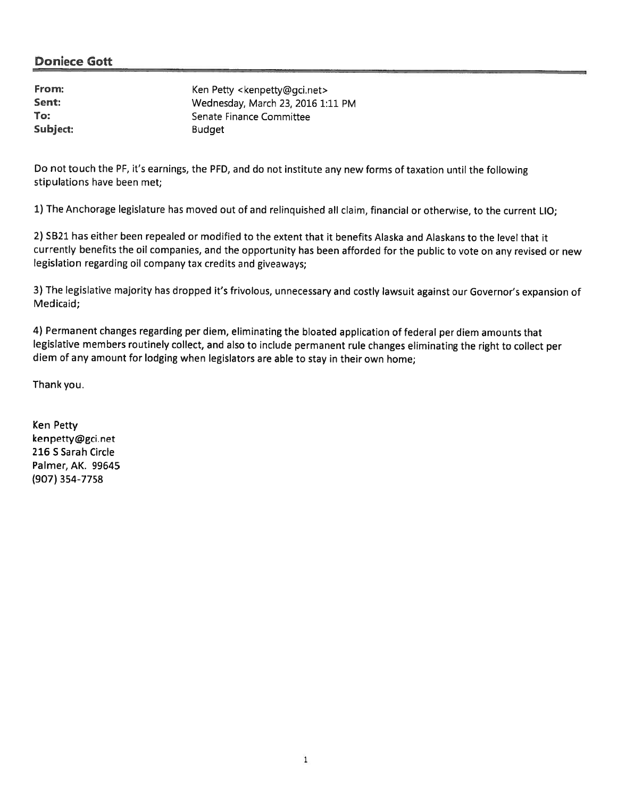| From:    | Ken Petty <kenpetty@gci.net></kenpetty@gci.net> |
|----------|-------------------------------------------------|
| Sent:    | Wednesday, March 23, 2016 1:11 PM               |
| To:      | Senate Finance Committee                        |
| Subject: | <b>Budget</b>                                   |

Do not touch the PF, it's earnings, the PFD, and do not institute any new forms of taxation until the following stipulations have been met;

1) The Anchorage legislature has moved out of and relinquished all claim, financial or otherwise, to the current LIC;

2) SB21 has either been repealed or modified to the extent that it benefits Alaska and Alaskans to the level that it currently benefits the oil companies, and the opportunity has been afforded for the public to vote on any revised or new legislation regarding oil company tax credits and <sup>g</sup>iveaways;

3) The legislative majority has dropped it's frivolous, unnecessary and costly lawsuit against our Governor's expansion of Medicaid;

4) Permanent changes regarding per diem, eliminating the bloated application of federal per diem amounts that legislative members routinely collect, and also to include permanen<sup>t</sup> rule changes eliminating the right to collect per diem of any amount for lodging when legislators are able to stay in their own home;

Thankyou.

Ken Petty kenpetty@gci.net 216 S Sarah Circle Palmer, AK. 99645 (907) 354-7758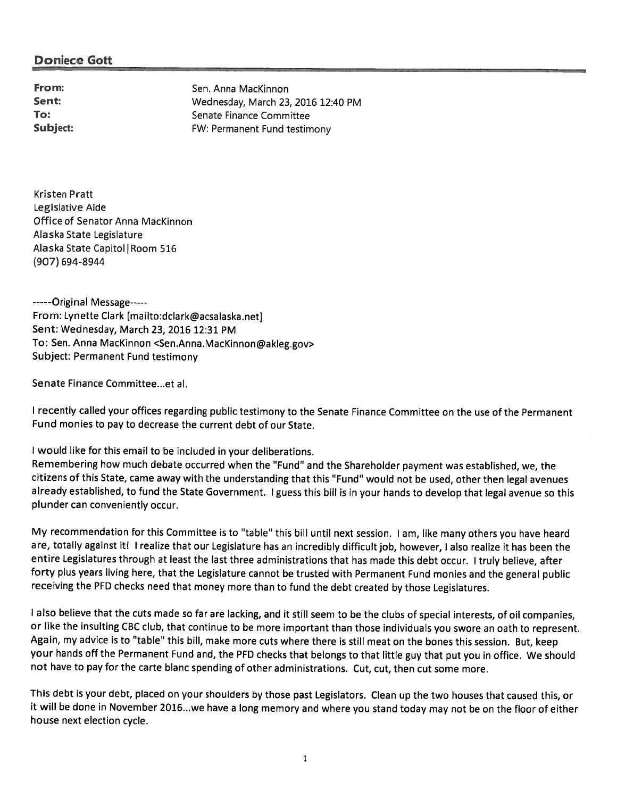From: Sen. Anna MacKinnon Sent: Wednesday, March 23, 2016 12:40 PM To: Senate Finance Committee Subject: FW: Permanent Fund testimony

Kristen Pratt Legislative Aide Office of Senator Anna MacKinnon Alaska State Legislature Alaska State Capitol | Room 516 (907) 694-8944

-----Original Message-----From: Lynette Clark [mailto:dclark@acsalaska.net] Sent: Wednesday, March 23, 2016 12:31 PM To: Sen. Anna MacKinnon <Sen.Anna.MacKinnon@akleg.gov> Subject: Permanent Fund testimony

Senate Finance Committee..et al.

<sup>I</sup> recently called your offices regarding public testimony to the Senate Finance Committee on the use of the Permanent Fund monies to pay to decrease the current debt of our State.

<sup>I</sup> would like for this email to be included in your deliberations.

Remembering how much debate occurred when the "Fund" and the Shareholder paymen<sup>t</sup> was established, we, the citizens of this State, came away with the understanding that this "Fund" would not be used, other then legal avenues already established, to fund the State Government. <sup>I</sup> guess this bill is in your hands to develop that legal avenue so this plunder can conveniently occur.

My recommendation for this Committee is to "table" this bill until next session. <sup>I</sup> am, like many others you have heard are, totally against it! I realize that our Legislature has an incredibly difficult job, however, I also realize it has been the entire Legislatures through at least the last three administrations that has made this debt occur. <sup>I</sup> truly believe, after forty <sup>p</sup>lus years living here, that the Legislature cannot be trusted with Permanent Fund monies and the genera<sup>l</sup> public receiving the PFD checks need that money more than to fund the debt created by those Legislatures.

<sup>I</sup> also believe that the cuts made so far are lacking, and it still seem to be the clubs of special interests, of oil companies, or like the insulting CBC club, that continue to be more important than those individuals you swore an oath to represent. Again, my advice is to "table" this bill, make more cuts where there is still meat on the bones this session. But, keep your hands off the Permanent Fund and, the PFD checks that belongs to that little guy that pu<sup>t</sup> you in office. We should not have to pay for the carte blanc spending of other administrations. Cut, cut, then cut some more.

This debt is your debt, <sup>p</sup>laced on your shoulders by those pas<sup>t</sup> Legislators. Clean up the two houses that caused this, or it will be done in November 2016...we have <sup>a</sup> long memory and where you stand today may not be on the floor of either house next election cycle.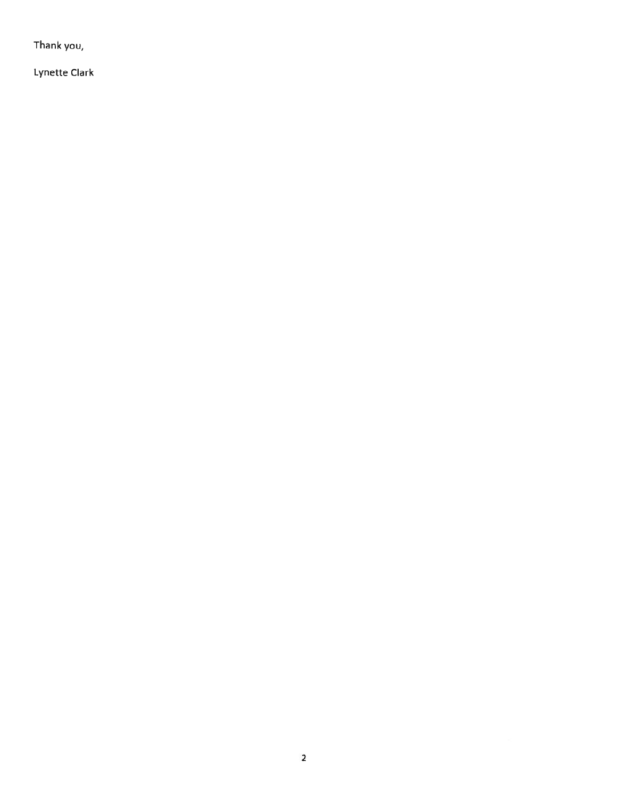Thank you,

Lynette Clark